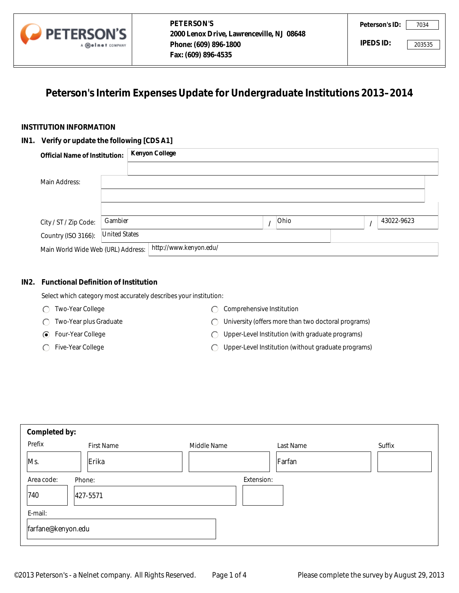

# **Peterson's Interim Expenses Update for Undergraduate Institutions 2013–2014**

## **INSTITUTION INFORMATION**

## **IN1. Verify or update the following [CDS A1]**

|                                         | A <b>melnet</b> COMPANY | Phone: (609) 896-1800<br>Fax: (609) 896-4535                                |      |   | IPEDS ID:  | 203535 |
|-----------------------------------------|-------------------------|-----------------------------------------------------------------------------|------|---|------------|--------|
|                                         |                         | Peterson's Interim Expenses Update for Undergraduate Institutions 2013-2014 |      |   |            |        |
| <b>TITUTION INFORMATION</b>             |                         |                                                                             |      |   |            |        |
| Verify or update the following [CDS A1] |                         |                                                                             |      |   |            |        |
| <b>Official Name of Institution:</b>    |                         | <b>Kenyon College</b>                                                       |      |   |            |        |
|                                         |                         |                                                                             |      |   |            |        |
| Main Address:                           |                         |                                                                             |      |   |            |        |
|                                         |                         |                                                                             |      |   |            |        |
|                                         |                         |                                                                             |      |   |            |        |
| City / ST / Zip Code:                   | Gambier                 |                                                                             | Ohio | ı | 43022-9623 |        |
| Country (ISO 3166):                     | <b>United States</b>    |                                                                             |      |   |            |        |
| Main World Wide Web (URL) Address:      |                         | http://www.kenyon.edu/                                                      |      |   |            |        |

## **IN2. Functional Definition of Institution**

Select which category most accurately describes your institution:

- Two-Year College
- Two-Year plus Graduate
- Four-Year College
- ◯ Five-Year College
- C Comprehensive Institution
- University (offers more than two doctoral programs)
- Upper-Level Institution (with graduate programs)
- Upper-Level Institution (without graduate programs)  $\bigcap$

| Completed by:      |            |             |            |                      |
|--------------------|------------|-------------|------------|----------------------|
| Prefix             | First Name | Middle Name | Last Name  | Suffix               |
| Ms.                | Erika      |             | Farfan     | $\blacktriangledown$ |
| Area code:         | Phone:     |             | Extension: |                      |
| 740                | 427-5571   |             |            |                      |
| E-mail:            |            |             |            |                      |
| farfane@kenyon.edu |            |             |            |                      |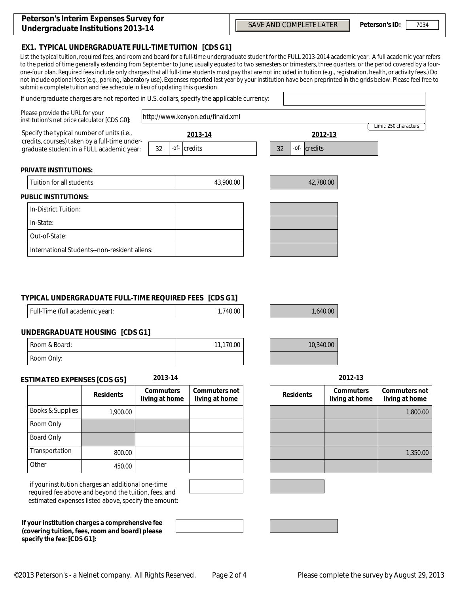## **EX1. TYPICAL UNDERGRADUATE FULL-TIME TUITION [CDS G1]**

List the typical tuition, required fees, and room and board for a full-time undergraduate student for the FULL 2013-2014 academic year. A full academic year refers to the period of time generally extending from September to June; usually equated to two semesters or trimesters, three quarters, or the period covered by a fourone-four plan. Required fees include only charges that all full-time students must pay that are not included in tuition (e.g., registration, health, or activity fees.) Do not include optional fees (e.g., parking, laboratory use). Expenses reported last year by your institution have been preprinted in the grids below. Please feel free to submit a complete tuition and fee schedule in lieu of updating this question.

| If undergraduate charges are not reported in U.S. dollars, specify the applicable currency: |                                                                                             |                                    |         |                                  |                                   |                                    | $\overline{\phantom{a}}$     |
|---------------------------------------------------------------------------------------------|---------------------------------------------------------------------------------------------|------------------------------------|---------|----------------------------------|-----------------------------------|------------------------------------|------------------------------|
| Please provide the URL for your<br>institution's net price calculator [CDS G0]:             |                                                                                             |                                    |         | http://www.kenyon.edu/finaid.xml |                                   |                                    |                              |
|                                                                                             | Specify the typical number of units (i.e.,<br>credits, courses) taken by a full-time under- |                                    |         | 2013-14                          |                                   | 2012-13                            | Limit: 250 characters        |
| graduate student in a FULL academic year:                                                   |                                                                                             | 32                                 | $-$ of- | credits                          | 32<br>-of- $\parallel$<br>credits |                                    |                              |
| <b>PRIVATE INSTITUTIONS:</b>                                                                |                                                                                             |                                    |         |                                  |                                   |                                    |                              |
|                                                                                             | Tuition for all students                                                                    |                                    |         | 43,900.00                        | 42,780.00                         |                                    |                              |
| <b>PUBLIC INSTITUTIONS:</b>                                                                 |                                                                                             |                                    |         |                                  |                                   |                                    |                              |
| In-District Tuition:                                                                        |                                                                                             |                                    |         |                                  |                                   |                                    |                              |
| In-State:                                                                                   |                                                                                             |                                    |         |                                  |                                   |                                    |                              |
| Out-of-State:                                                                               |                                                                                             |                                    |         |                                  |                                   |                                    |                              |
|                                                                                             | International Students--non-resident aliens:                                                |                                    |         |                                  |                                   |                                    |                              |
| TYPICAL UNDERGRADUATE FULL-TIME REQUIRED FEES [CDS G1]<br>Full-Time (full academic year):   |                                                                                             |                                    |         | 1,740.00                         | 1,640.00                          |                                    |                              |
| <b>UNDERGRADUATE HOUSING [CDS G1]</b>                                                       |                                                                                             |                                    |         |                                  |                                   |                                    |                              |
| Room & Board:                                                                               |                                                                                             |                                    |         | 11,170.00                        | 10,340.00                         |                                    |                              |
| Room Only:                                                                                  |                                                                                             |                                    |         |                                  |                                   |                                    |                              |
| <b>ESTIMATED EXPENSES [CDS G5]</b>                                                          |                                                                                             | 2013-14                            |         |                                  |                                   | 2012-13                            |                              |
|                                                                                             | <b>Residents</b>                                                                            | <b>Commuters</b><br>living at home |         | Commuters not<br>living at home  | <b>Residents</b>                  | <b>Commuters</b><br>living at home | Commuters r<br>living at hon |
| <b>Books &amp; Supplies</b>                                                                 | 1,900.00                                                                                    |                                    |         |                                  |                                   |                                    | 1,800                        |
| Room Only                                                                                   |                                                                                             |                                    |         |                                  |                                   |                                    |                              |
| <b>Board Only</b>                                                                           |                                                                                             |                                    |         |                                  |                                   |                                    |                              |
| Transportation                                                                              | 800.00                                                                                      |                                    |         |                                  |                                   |                                    | 1,350                        |
| Other                                                                                       | 450.00                                                                                      |                                    |         |                                  |                                   |                                    |                              |

### **TYPICAL UNDERGRADUATE FULL-TIME REQUIRED FEES [CDS G1]**

| Full-Time (full academic year): | 1,740.00 |
|---------------------------------|----------|
|                                 |          |

### **UNDERGRADUATE HOUSING [CDS G1]**

| <sup>1</sup> Room & Board: | 11,170.00 |
|----------------------------|-----------|
| Room Only:                 |           |

## **ESTIMATED EXPENSES [CDS G5]**

|                   | <b>Residents</b> | <b>Commuters</b><br>living at home | Commuters not<br>living at home |
|-------------------|------------------|------------------------------------|---------------------------------|
| Books & Supplies  | 1,900.00         |                                    |                                 |
| Room Only         |                  |                                    |                                 |
| <b>Board Only</b> |                  |                                    |                                 |
| Transportation    | 800.00           |                                    |                                 |
| Other             | 450.00           |                                    |                                 |

 if your institution charges an additional one-time required fee above and beyond the tuition, fees, and estimated expenses listed above, specify the amount:

**If your institution charges a comprehensive fee (covering tuition, fees, room and board) please specify the fee: [CDS G1]:**

| ents     | <b>Commuters</b><br>living at home | Commuters not<br>living at home | <b>Residents</b> | <b>Commuters</b><br>living at home | Commuters not<br>living at home |
|----------|------------------------------------|---------------------------------|------------------|------------------------------------|---------------------------------|
| 1,900.00 |                                    |                                 |                  |                                    | 1,800.00                        |
|          |                                    |                                 |                  |                                    |                                 |
|          |                                    |                                 |                  |                                    |                                 |
| 800.00   |                                    |                                 |                  |                                    | 1,350.00                        |
| 450.00   |                                    |                                 |                  |                                    |                                 |

╜

┪

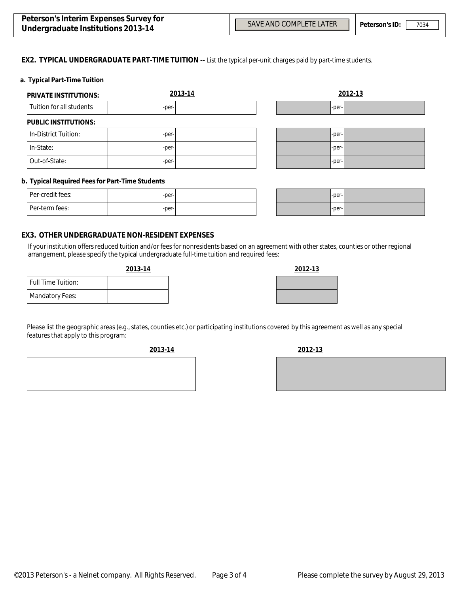$\blacktriangledown$ 

 $\overline{\phantom{0}}$ 

#### **EX2. TYPICAL UNDERGRADUATE PART-TIME TUITION --** List the typical per-unit charges paid by part-time students.

#### **a. Typical Part-Time Tuition**

| <b>PRIVATE INSTITUTIONS:</b> | 2013-14 |       | 2012-13 |
|------------------------------|---------|-------|---------|
| Tuition for all students     | -per-   | -per- |         |
| <b>PUBLIC INSTITUTIONS:</b>  |         |       |         |
| In-District Tuition:         | -per-   | -per- |         |
| In-State:                    | -per-   | -per- |         |
| Out-of-State:                | -per-   | -per- |         |

#### **b. Typical Required Fees for Part-Time Students**

| Per-credit fees: | $-per-$ |  |
|------------------|---------|--|
| l Per-term fees: | $-per-$ |  |

| $-per$  | 1 |
|---------|---|
| $-per-$ | п |

#### **EX3. OTHER UNDERGRADUATE NON-RESIDENT EXPENSES**

If your institution offers reduced tuition and/or fees for nonresidents based on an agreement with other states, counties or other regional arrangement, please specify the typical undergraduate full-time tuition and required fees:

| <u>2013-14</u> | 2012-13 |
|----------------|---------|
|                |         |
|                |         |

|                           | 2019-17 |
|---------------------------|---------|
| <b>Full Time Tuition:</b> |         |
| <b>Mandatory Fees:</b>    |         |
|                           |         |

Please list the geographic areas (e.g., states, counties etc.) or participating institutions covered by this agreement as well as any special features that apply to this program:

**2013-14 2012-13**